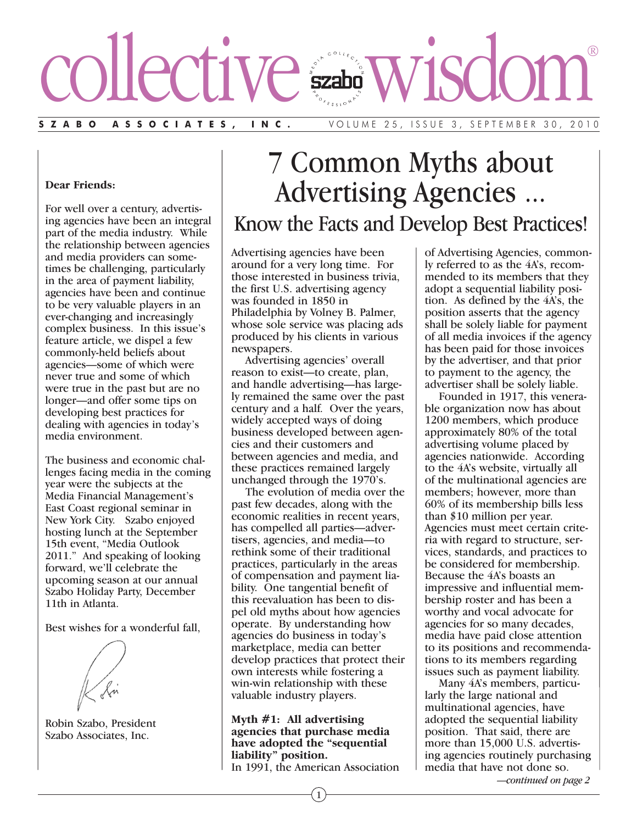# collective wisdom®

#### **SZABO ASSOCIATES, INC.** VOLUME 25, ISSUE 3, SEPTEMBER 30, 2010

#### **Dear Friends:**

For well over a century, advertising agencies have been an integral part of the media industry. While the relationship between agencies and media providers can sometimes be challenging, particularly in the area of payment liability, agencies have been and continue to be very valuable players in an ever-changing and increasingly complex business. In this issue's feature article, we dispel a few commonly-held beliefs about agencies—some of which were never true and some of which were true in the past but are no longer—and offer some tips on developing best practices for dealing with agencies in today's media environment.

The business and economic challenges facing media in the coming year were the subjects at the Media Financial Management's East Coast regional seminar in New York City. Szabo enjoyed hosting lunch at the September 15th event, "Media Outlook 2011." And speaking of looking forward, we'll celebrate the upcoming season at our annual Szabo Holiday Party, December 11th in Atlanta.

Best wishes for a wonderful fall,

Robin Szabo, President Szabo Associates, Inc.

# 7 Common Myths about Advertising Agencies ... Know the Facts and Develop Best Practices!

Advertising agencies have been around for a very long time. For those interested in business trivia, the first U.S. advertising agency was founded in 1850 in Philadelphia by Volney B. Palmer, whose sole service was placing ads produced by his clients in various newspapers.

Advertising agencies' overall reason to exist—to create, plan, and handle advertising—has largely remained the same over the past century and a half. Over the years, widely accepted ways of doing business developed between agencies and their customers and between agencies and media, and these practices remained largely unchanged through the 1970's.

The evolution of media over the past few decades, along with the economic realities in recent years, has compelled all parties—advertisers, agencies, and media—to rethink some of their traditional practices, particularly in the areas of compensation and payment liability. One tangential benefit of this reevaluation has been to dispel old myths about how agencies operate. By understanding how agencies do business in today's marketplace, media can better develop practices that protect their own interests while fostering a win-win relationship with these valuable industry players.

**Myth #1: All advertising agencies that purchase media have adopted the "sequential liability" position.** In 1991, the American Association of Advertising Agencies, commonly referred to as the 4A's, recommended to its members that they adopt a sequential liability position. As defined by the 4A's, the position asserts that the agency shall be solely liable for payment of all media invoices if the agency has been paid for those invoices by the advertiser, and that prior to payment to the agency, the advertiser shall be solely liable.

Founded in 1917, this venerable organization now has about 1200 members, which produce approximately 80% of the total advertising volume placed by agencies nationwide. According to the 4A's website, virtually all of the multinational agencies are members; however, more than 60% of its membership bills less than \$10 million per year. Agencies must meet certain criteria with regard to structure, services, standards, and practices to be considered for membership. Because the 4A's boasts an impressive and influential membership roster and has been a worthy and vocal advocate for agencies for so many decades, media have paid close attention to its positions and recommendations to its members regarding issues such as payment liability.

Many 4A's members, particularly the large national and multinational agencies, have adopted the sequential liability position. That said, there are more than 15,000 U.S. advertising agencies routinely purchasing media that have not done so.

*—continued on page 2*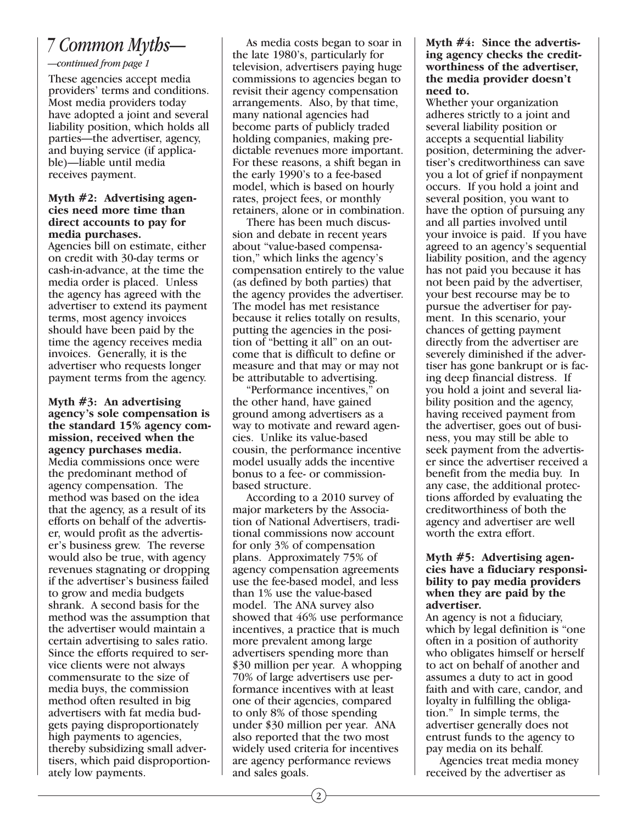### *7 Common Myths—*

#### *—continued from page 1*

These agencies accept media providers' terms and conditions. Most media providers today have adopted a joint and several liability position, which holds all parties—the advertiser, agency, and buying service (if applicable)—liable until media receives payment.

#### **Myth #2: Advertising agencies need more time than direct accounts to pay for media purchases.**

Agencies bill on estimate, either on credit with 30-day terms or cash-in-advance, at the time the media order is placed. Unless the agency has agreed with the advertiser to extend its payment terms, most agency invoices should have been paid by the time the agency receives media invoices. Generally, it is the advertiser who requests longer payment terms from the agency.

**Myth #3: An advertising agency's sole compensation is the standard 15% agency commission, received when the agency purchases media.** Media commissions once were the predominant method of agency compensation. The method was based on the idea that the agency, as a result of its efforts on behalf of the advertiser, would profit as the advertiser's business grew. The reverse would also be true, with agency revenues stagnating or dropping if the advertiser's business failed to grow and media budgets shrank. A second basis for the method was the assumption that the advertiser would maintain a certain advertising to sales ratio. Since the efforts required to service clients were not always commensurate to the size of media buys, the commission method often resulted in big advertisers with fat media budgets paying disproportionately high payments to agencies, thereby subsidizing small advertisers, which paid disproportionately low payments.

As media costs began to soar in the late 1980's, particularly for television, advertisers paying huge commissions to agencies began to revisit their agency compensation arrangements. Also, by that time, many national agencies had become parts of publicly traded holding companies, making predictable revenues more important. For these reasons, a shift began in the early 1990's to a fee-based model, which is based on hourly rates, project fees, or monthly retainers, alone or in combination.

There has been much discussion and debate in recent years about "value-based compensation," which links the agency's compensation entirely to the value (as defined by both parties) that the agency provides the advertiser. The model has met resistance because it relies totally on results, putting the agencies in the position of "betting it all" on an outcome that is difficult to define or measure and that may or may not be attributable to advertising.

"Performance incentives," on the other hand, have gained ground among advertisers as a way to motivate and reward agencies. Unlike its value-based cousin, the performance incentive model usually adds the incentive bonus to a fee- or commissionbased structure.

According to a 2010 survey of major marketers by the Association of National Advertisers, traditional commissions now account for only 3% of compensation plans. Approximately 75% of agency compensation agreements use the fee-based model, and less than 1% use the value-based model. The ANA survey also showed that 46% use performance incentives, a practice that is much more prevalent among large advertisers spending more than \$30 million per year. A whopping 70% of large advertisers use performance incentives with at least one of their agencies, compared to only 8% of those spending under \$30 million per year. ANA also reported that the two most widely used criteria for incentives are agency performance reviews and sales goals.

#### **Myth #4: Since the advertising agency checks the creditworthiness of the advertiser, the media provider doesn't need to.**

Whether your organization adheres strictly to a joint and several liability position or accepts a sequential liability position, determining the advertiser's creditworthiness can save you a lot of grief if nonpayment occurs. If you hold a joint and several position, you want to have the option of pursuing any and all parties involved until your invoice is paid. If you have agreed to an agency's sequential liability position, and the agency has not paid you because it has not been paid by the advertiser, your best recourse may be to pursue the advertiser for payment. In this scenario, your chances of getting payment directly from the advertiser are severely diminished if the advertiser has gone bankrupt or is facing deep financial distress. If you hold a joint and several liability position and the agency, having received payment from the advertiser, goes out of business, you may still be able to seek payment from the advertiser since the advertiser received a benefit from the media buy. In any case, the additional protections afforded by evaluating the creditworthiness of both the agency and advertiser are well worth the extra effort.

#### **Myth #5: Advertising agencies have a fiduciary responsibility to pay media providers when they are paid by the advertiser.**

An agency is not a fiduciary, which by legal definition is "one often in a position of authority who obligates himself or herself to act on behalf of another and assumes a duty to act in good faith and with care, candor, and loyalty in fulfilling the obligation." In simple terms, the advertiser generally does not entrust funds to the agency to pay media on its behalf.

Agencies treat media money received by the advertiser as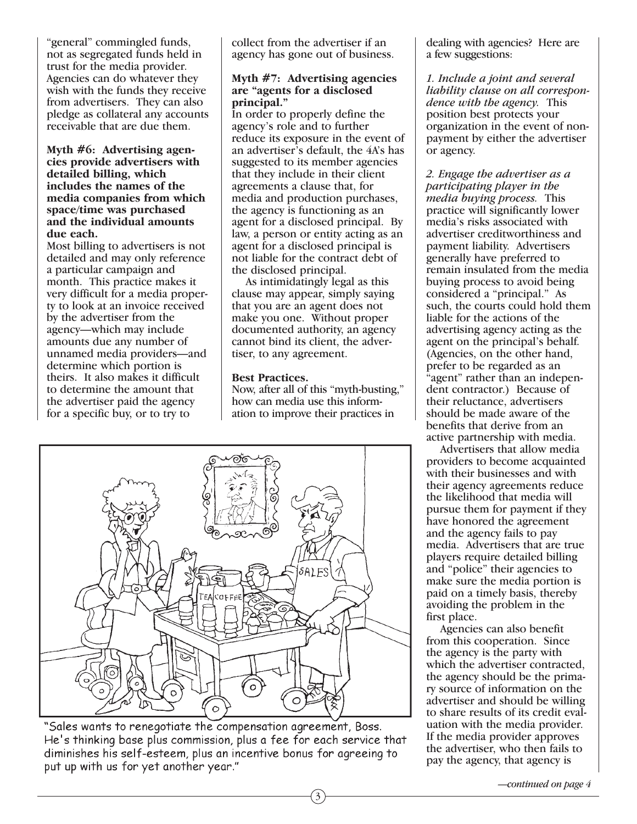"general" commingled funds, not as segregated funds held in trust for the media provider. Agencies can do whatever they wish with the funds they receive from advertisers. They can also pledge as collateral any accounts receivable that are due them.

**Myth #6: Advertising agencies provide advertisers with detailed billing, which includes the names of the media companies from which space/time was purchased and the individual amounts due each.**

Most billing to advertisers is not detailed and may only reference a particular campaign and month. This practice makes it very difficult for a media property to look at an invoice received by the advertiser from the agency—which may include amounts due any number of unnamed media providers—and determine which portion is theirs. It also makes it difficult to determine the amount that the advertiser paid the agency for a specific buy, or to try to

collect from the advertiser if an agency has gone out of business.

#### **Myth #7: Advertising agencies are "agents for a disclosed principal."**

In order to properly define the agency's role and to further reduce its exposure in the event of an advertiser's default, the 4A's has suggested to its member agencies that they include in their client agreements a clause that, for media and production purchases, the agency is functioning as an agent for a disclosed principal. By law, a person or entity acting as an agent for a disclosed principal is not liable for the contract debt of the disclosed principal.

As intimidatingly legal as this clause may appear, simply saying that you are an agent does not make you one. Without proper documented authority, an agency cannot bind its client, the advertiser, to any agreement.

#### **Best Practices.**

Now, after all of this "myth-busting," how can media use this information to improve their practices in

3



"Sales wants to renegotiate the compensation agreement, Boss. He's thinking base plus commission, plus a fee for each service that diminishes his self-esteem, plus an incentive bonus for agreeing to put up with us for yet another year."

dealing with agencies? Here are a few suggestions:

*1. Include a joint and several liability clause on all correspondence with the agency.* This position best protects your organization in the event of nonpayment by either the advertiser or agency.

*2. Engage the advertiser as a participating player in the media buying process.* This practice will significantly lower media's risks associated with advertiser creditworthiness and payment liability. Advertisers generally have preferred to remain insulated from the media buying process to avoid being considered a "principal." As such, the courts could hold them liable for the actions of the advertising agency acting as the agent on the principal's behalf. (Agencies, on the other hand, prefer to be regarded as an "agent" rather than an independent contractor.) Because of their reluctance, advertisers should be made aware of the benefits that derive from an active partnership with media.

Advertisers that allow media providers to become acquainted with their businesses and with their agency agreements reduce the likelihood that media will pursue them for payment if they have honored the agreement and the agency fails to pay media. Advertisers that are true players require detailed billing and "police" their agencies to make sure the media portion is paid on a timely basis, thereby avoiding the problem in the first place.

Agencies can also benefit from this cooperation. Since the agency is the party with which the advertiser contracted, the agency should be the primary source of information on the advertiser and should be willing to share results of its credit evaluation with the media provider. If the media provider approves the advertiser, who then fails to pay the agency, that agency is